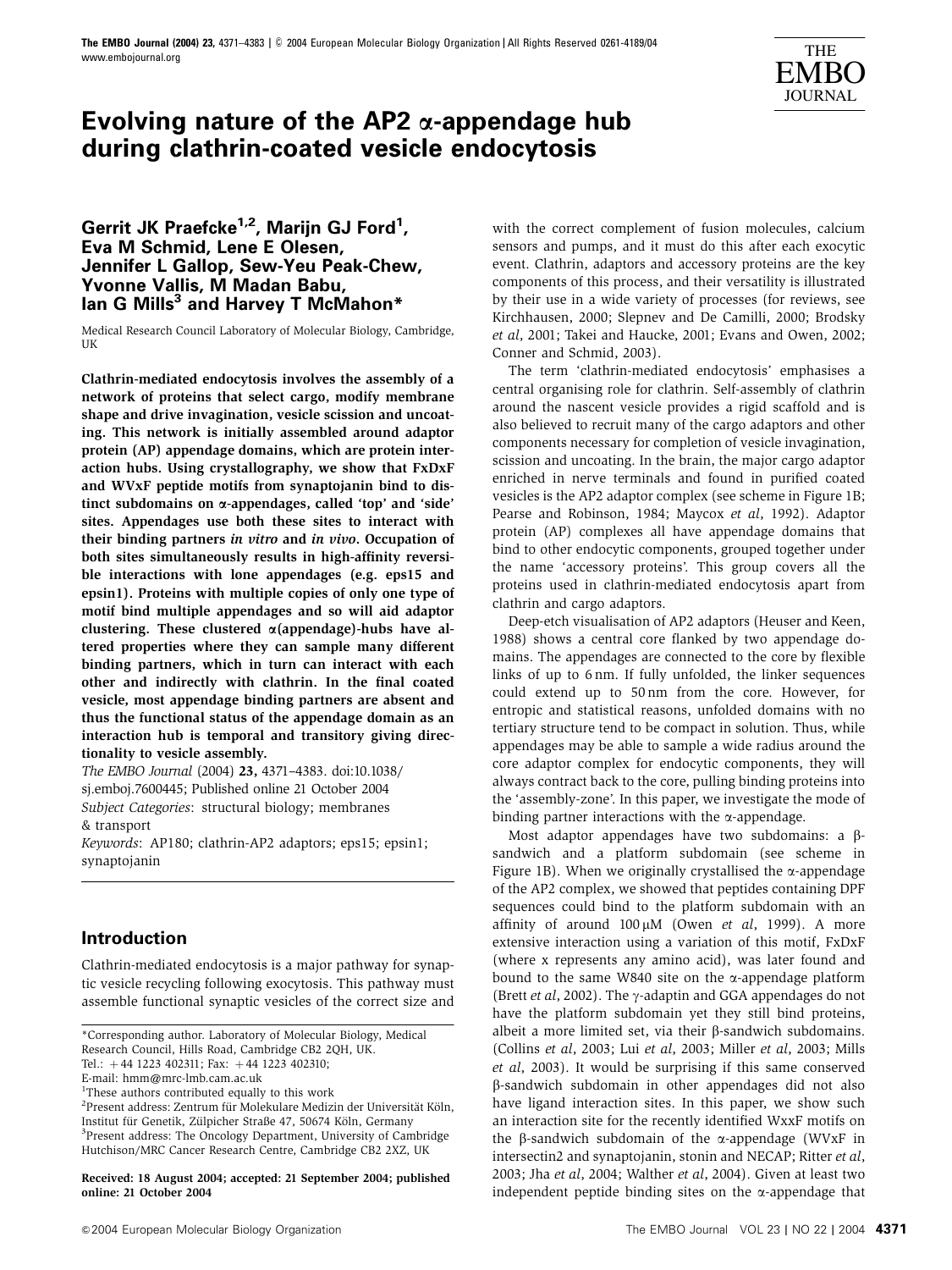

# **Evolving nature of the AP2** a**-appendage hub during clathrin-coated vesicle endocytosis**

**Gerrit JK Praefcke1,2, Marijn GJ Ford1 , Eva M Schmid, Lene E Olesen, Jennifer L Gallop, Sew-Yeu Peak-Chew, Yvonne Vallis, M Madan Babu, Ian G Mills3 and Harvey T McMahon\***

Medical Research Council Laboratory of Molecular Biology, Cambridge, **IK** 

Clathrin-mediated endocytosis involves the assembly of a network of proteins that select cargo, modify membrane shape and drive invagination, vesicle scission and uncoating. This network is initially assembled around adaptor protein (AP) appendage domains, which are protein interaction hubs. Using crystallography, we show that FxDxF and WVxF peptide motifs from synaptojanin bind to distinct subdomains on a-appendages, called 'top' and 'side' sites. Appendages use both these sites to interact with their binding partners in vitro and in vivo. Occupation of both sites simultaneously results in high-affinity reversible interactions with lone appendages (e.g. eps15 and epsin1). Proteins with multiple copies of only one type of motif bind multiple appendages and so will aid adaptor clustering. These clustered  $\alpha$ (appendage)-hubs have altered properties where they can sample many different binding partners, which in turn can interact with each other and indirectly with clathrin. In the final coated vesicle, most appendage binding partners are absent and thus the functional status of the appendage domain as an interaction hub is temporal and transitory giving directionality to vesicle assembly.

The EMBO Journal (2004) 23, 4371–4383. doi:10.1038/ sj.emboj.7600445; Published online 21 October 2004 Subject Categories: structural biology; membranes & transport

Keywords: AP180; clathrin-AP2 adaptors; eps15; epsin1; synaptojanin

## **Introduction**

Clathrin-mediated endocytosis is a major pathway for synaptic vesicle recycling following exocytosis. This pathway must assemble functional synaptic vesicles of the correct size and

Received: 18 August 2004; accepted: 21 September 2004; published online: 21 October 2004

with the correct complement of fusion molecules, calcium sensors and pumps, and it must do this after each exocytic event. Clathrin, adaptors and accessory proteins are the key components of this process, and their versatility is illustrated by their use in a wide variety of processes (for reviews, see Kirchhausen, 2000; Slepnev and De Camilli, 2000; Brodsky et al, 2001; Takei and Haucke, 2001; Evans and Owen, 2002; Conner and Schmid, 2003).

The term 'clathrin-mediated endocytosis' emphasises a central organising role for clathrin. Self-assembly of clathrin around the nascent vesicle provides a rigid scaffold and is also believed to recruit many of the cargo adaptors and other components necessary for completion of vesicle invagination, scission and uncoating. In the brain, the major cargo adaptor enriched in nerve terminals and found in purified coated vesicles is the AP2 adaptor complex (see scheme in Figure 1B; Pearse and Robinson, 1984; Maycox et al, 1992). Adaptor protein (AP) complexes all have appendage domains that bind to other endocytic components, grouped together under the name 'accessory proteins'. This group covers all the proteins used in clathrin-mediated endocytosis apart from clathrin and cargo adaptors.

Deep-etch visualisation of AP2 adaptors (Heuser and Keen, 1988) shows a central core flanked by two appendage domains. The appendages are connected to the core by flexible links of up to 6 nm. If fully unfolded, the linker sequences could extend up to 50 nm from the core. However, for entropic and statistical reasons, unfolded domains with no tertiary structure tend to be compact in solution. Thus, while appendages may be able to sample a wide radius around the core adaptor complex for endocytic components, they will always contract back to the core, pulling binding proteins into the 'assembly-zone'. In this paper, we investigate the mode of binding partner interactions with the  $\alpha$ -appendage.

Most adaptor appendages have two subdomains: a bsandwich and a platform subdomain (see scheme in Figure 1B). When we originally crystallised the  $\alpha$ -appendage of the AP2 complex, we showed that peptides containing DPF sequences could bind to the platform subdomain with an affinity of around  $100 \mu M$  (Owen et al, 1999). A more extensive interaction using a variation of this motif, FxDxF (where x represents any amino acid), was later found and bound to the same W840 site on the  $\alpha$ -appendage platform (Brett *et al*, 2002). The  $\gamma$ -adaptin and GGA appendages do not have the platform subdomain yet they still bind proteins, albeit a more limited set, via their  $\beta$ -sandwich subdomains. (Collins et al, 2003; Lui et al, 2003; Miller et al, 2003; Mills et al, 2003). It would be surprising if this same conserved b-sandwich subdomain in other appendages did not also have ligand interaction sites. In this paper, we show such an interaction site for the recently identified WxxF motifs on the B-sandwich subdomain of the  $\alpha$ -appendage (WVxF in intersectin2 and synaptojanin, stonin and NECAP; Ritter et al, 2003; Jha et al, 2004; Walther et al, 2004). Given at least two independent peptide binding sites on the  $\alpha$ -appendage that

<sup>\*</sup>Corresponding author. Laboratory of Molecular Biology, Medical Research Council, Hills Road, Cambridge CB2 2QH, UK.

Tel.:  $+44$  1223 402311; Fax:  $+44$  1223 402310;

E-mail: hmm@mrc-lmb.cam.ac.uk

<sup>&</sup>lt;sup>1</sup>These authors contributed equally to this work

 $^{2}$ Present address: Zentrum für Molekulare Medizin der Universität Köln, Institut für Genetik, Zülpicher Straße 47, 50674 Köln, Germany <sup>3</sup>Present address: The Oncology Department, University of Cambridge Hutchison/MRC Cancer Research Centre, Cambridge CB2 2XZ, UK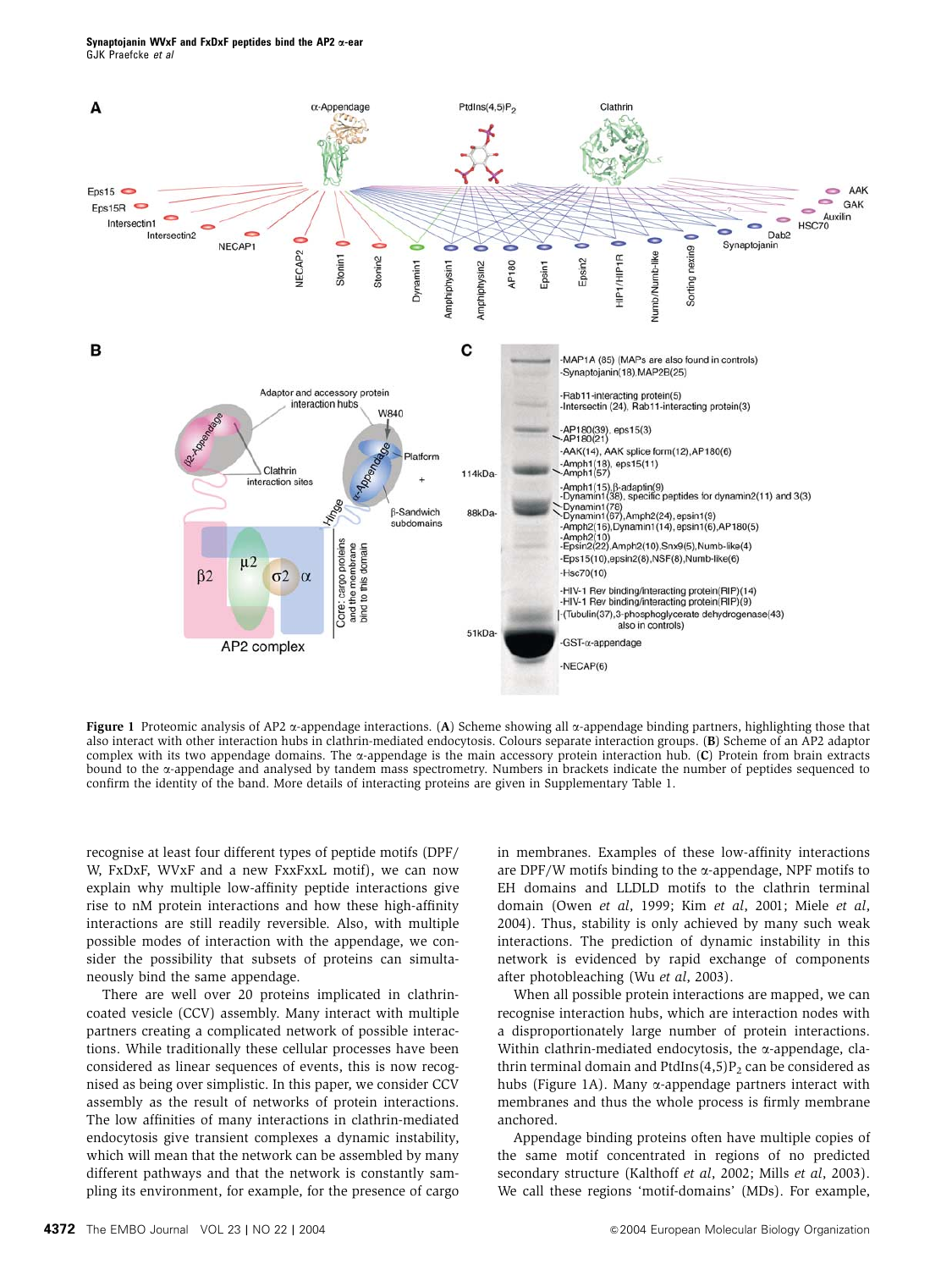

Figure 1 Proteomic analysis of AP2  $\alpha$ -appendage interactions. (A) Scheme showing all  $\alpha$ -appendage binding partners, highlighting those that also interact with other interaction hubs in clathrin-mediated endocytosis. Colours separate interaction groups. (B) Scheme of an AP2 adaptor complex with its two appendage domains. The a-appendage is the main accessory protein interaction hub. (C) Protein from brain extracts bound to the a-appendage and analysed by tandem mass spectrometry. Numbers in brackets indicate the number of peptides sequenced to confirm the identity of the band. More details of interacting proteins are given in Supplementary Table 1.

recognise at least four different types of peptide motifs (DPF/ W, FxDxF, WVxF and a new FxxFxxL motif), we can now explain why multiple low-affinity peptide interactions give rise to nM protein interactions and how these high-affinity interactions are still readily reversible. Also, with multiple possible modes of interaction with the appendage, we consider the possibility that subsets of proteins can simultaneously bind the same appendage.

There are well over 20 proteins implicated in clathrincoated vesicle (CCV) assembly. Many interact with multiple partners creating a complicated network of possible interactions. While traditionally these cellular processes have been considered as linear sequences of events, this is now recognised as being over simplistic. In this paper, we consider CCV assembly as the result of networks of protein interactions. The low affinities of many interactions in clathrin-mediated endocytosis give transient complexes a dynamic instability, which will mean that the network can be assembled by many different pathways and that the network is constantly sampling its environment, for example, for the presence of cargo in membranes. Examples of these low-affinity interactions are DPF/W motifs binding to the  $\alpha$ -appendage, NPF motifs to EH domains and LLDLD motifs to the clathrin terminal domain (Owen et al, 1999; Kim et al, 2001; Miele et al, 2004). Thus, stability is only achieved by many such weak interactions. The prediction of dynamic instability in this network is evidenced by rapid exchange of components after photobleaching (Wu et al, 2003).

When all possible protein interactions are mapped, we can recognise interaction hubs, which are interaction nodes with a disproportionately large number of protein interactions. Within clathrin-mediated endocytosis, the  $\alpha$ -appendage, clathrin terminal domain and PtdIns $(4,5)P_2$  can be considered as hubs (Figure 1A). Many  $\alpha$ -appendage partners interact with membranes and thus the whole process is firmly membrane anchored.

Appendage binding proteins often have multiple copies of the same motif concentrated in regions of no predicted secondary structure (Kalthoff et al, 2002; Mills et al, 2003). We call these regions 'motif-domains' (MDs). For example,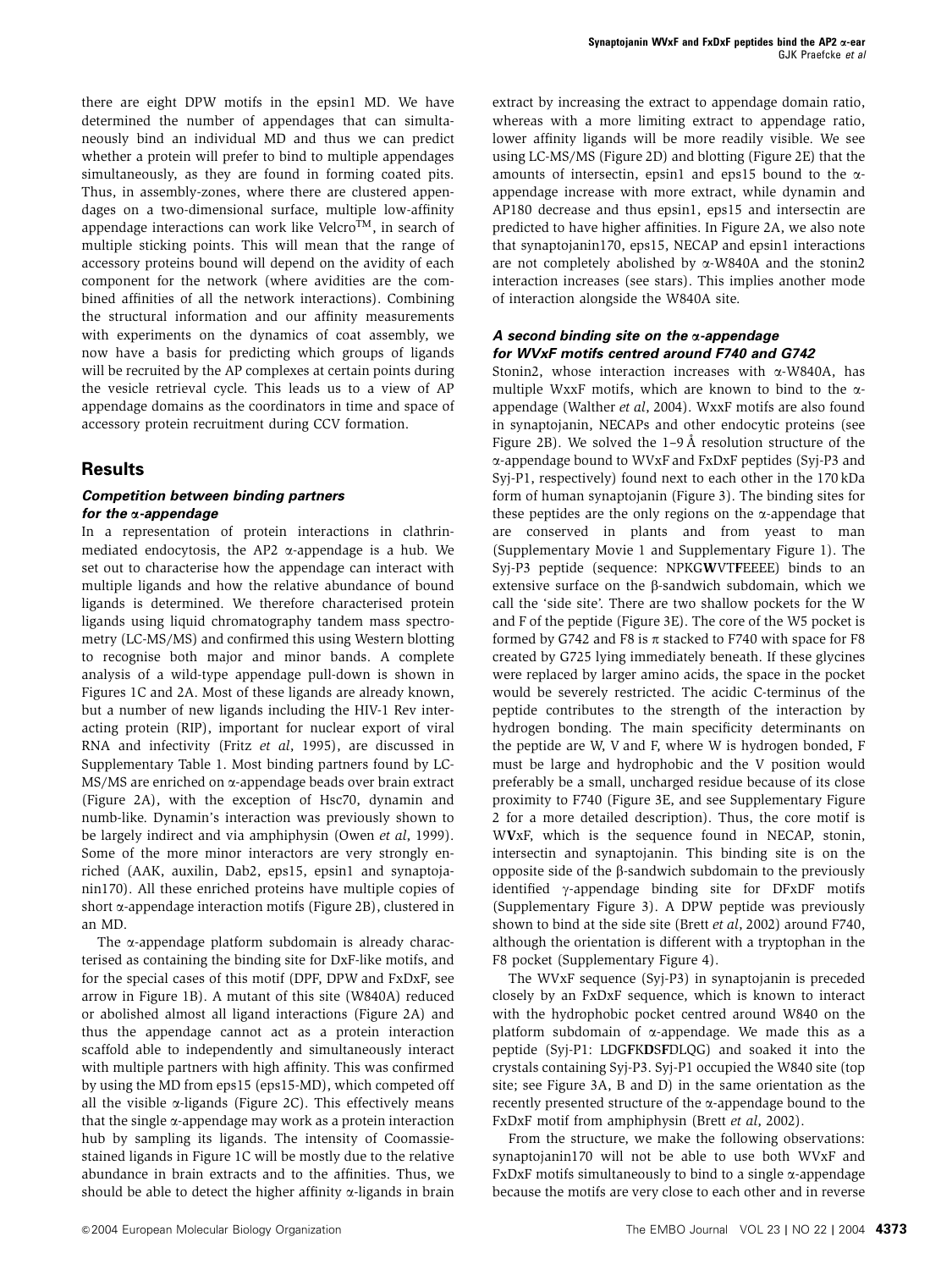there are eight DPW motifs in the epsin1 MD. We have determined the number of appendages that can simultaneously bind an individual MD and thus we can predict whether a protein will prefer to bind to multiple appendages simultaneously, as they are found in forming coated pits. Thus, in assembly-zones, where there are clustered appendages on a two-dimensional surface, multiple low-affinity appendage interactions can work like Velcro<sup>TM</sup>, in search of multiple sticking points. This will mean that the range of accessory proteins bound will depend on the avidity of each component for the network (where avidities are the combined affinities of all the network interactions). Combining the structural information and our affinity measurements with experiments on the dynamics of coat assembly, we now have a basis for predicting which groups of ligands will be recruited by the AP complexes at certain points during the vesicle retrieval cycle. This leads us to a view of AP appendage domains as the coordinators in time and space of accessory protein recruitment during CCV formation.

### **Results**

### **Competition between binding partners for the** a**-appendage**

In a representation of protein interactions in clathrinmediated endocytosis, the AP2  $\alpha$ -appendage is a hub. We set out to characterise how the appendage can interact with multiple ligands and how the relative abundance of bound ligands is determined. We therefore characterised protein ligands using liquid chromatography tandem mass spectrometry (LC-MS/MS) and confirmed this using Western blotting to recognise both major and minor bands. A complete analysis of a wild-type appendage pull-down is shown in Figures 1C and 2A. Most of these ligands are already known, but a number of new ligands including the HIV-1 Rev interacting protein (RIP), important for nuclear export of viral RNA and infectivity (Fritz et al, 1995), are discussed in Supplementary Table 1. Most binding partners found by LC-MS/MS are enriched on a-appendage beads over brain extract (Figure 2A), with the exception of Hsc70, dynamin and numb-like. Dynamin's interaction was previously shown to be largely indirect and via amphiphysin (Owen et al, 1999). Some of the more minor interactors are very strongly enriched (AAK, auxilin, Dab2, eps15, epsin1 and synaptojanin170). All these enriched proteins have multiple copies of short  $\alpha$ -appendage interaction motifs (Figure 2B), clustered in an MD.

The  $\alpha$ -appendage platform subdomain is already characterised as containing the binding site for DxF-like motifs, and for the special cases of this motif (DPF, DPW and FxDxF, see arrow in Figure 1B). A mutant of this site (W840A) reduced or abolished almost all ligand interactions (Figure 2A) and thus the appendage cannot act as a protein interaction scaffold able to independently and simultaneously interact with multiple partners with high affinity. This was confirmed by using the MD from eps15 (eps15-MD), which competed off all the visible  $\alpha$ -ligands (Figure 2C). This effectively means that the single  $\alpha$ -appendage may work as a protein interaction hub by sampling its ligands. The intensity of Coomassiestained ligands in Figure 1C will be mostly due to the relative abundance in brain extracts and to the affinities. Thus, we should be able to detect the higher affinity  $\alpha$ -ligands in brain extract by increasing the extract to appendage domain ratio, whereas with a more limiting extract to appendage ratio, lower affinity ligands will be more readily visible. We see using LC-MS/MS (Figure 2D) and blotting (Figure 2E) that the amounts of intersectin, epsin1 and eps15 bound to the  $\alpha$ appendage increase with more extract, while dynamin and AP180 decrease and thus epsin1, eps15 and intersectin are predicted to have higher affinities. In Figure 2A, we also note that synaptojanin170, eps15, NECAP and epsin1 interactions are not completely abolished by  $\alpha$ -W840A and the stonin2 interaction increases (see stars). This implies another mode of interaction alongside the W840A site.

### **A second binding site on the** a**-appendage for WVxF motifs centred around F740 and G742**

Stonin2, whose interaction increases with a-W840A, has multiple WxxF motifs, which are known to bind to the  $\alpha$ appendage (Walther et al, 2004). WxxF motifs are also found in synaptojanin, NECAPs and other endocytic proteins (see Figure 2B). We solved the  $1-9$  Å resolution structure of the a-appendage bound to WVxF and FxDxF peptides (Syj-P3 and Syj-P1, respectively) found next to each other in the 170 kDa form of human synaptojanin (Figure 3). The binding sites for these peptides are the only regions on the  $\alpha$ -appendage that are conserved in plants and from yeast to man (Supplementary Movie 1 and Supplementary Figure 1). The Svi-P3 peptide (sequence: NPKGWVTFEEEE) binds to an extensive surface on the  $\beta$ -sandwich subdomain, which we call the 'side site'. There are two shallow pockets for the W and F of the peptide (Figure 3E). The core of the W5 pocket is formed by G742 and F8 is  $\pi$  stacked to F740 with space for F8 created by G725 lying immediately beneath. If these glycines were replaced by larger amino acids, the space in the pocket would be severely restricted. The acidic C-terminus of the peptide contributes to the strength of the interaction by hydrogen bonding. The main specificity determinants on the peptide are W, V and F, where W is hydrogen bonded, F must be large and hydrophobic and the V position would preferably be a small, uncharged residue because of its close proximity to F740 (Figure 3E, and see Supplementary Figure 2 for a more detailed description). Thus, the core motif is WVxF, which is the sequence found in NECAP, stonin, intersectin and synaptojanin. This binding site is on the opposite side of the  $\beta$ -sandwich subdomain to the previously identified  $\gamma$ -appendage binding site for DFxDF motifs (Supplementary Figure 3). A DPW peptide was previously shown to bind at the side site (Brett et al, 2002) around F740, although the orientation is different with a tryptophan in the F8 pocket (Supplementary Figure 4).

The WVxF sequence (Syj-P3) in synaptojanin is preceded closely by an FxDxF sequence, which is known to interact with the hydrophobic pocket centred around W840 on the platform subdomain of a-appendage. We made this as a peptide (Syj-P1: LDGFKDSFDLQG) and soaked it into the crystals containing Syj-P3. Syj-P1 occupied the W840 site (top site; see Figure 3A, B and D) in the same orientation as the recently presented structure of the  $\alpha$ -appendage bound to the FxDxF motif from amphiphysin (Brett et al, 2002).

From the structure, we make the following observations: synaptojanin170 will not be able to use both WVxF and FxDxF motifs simultaneously to bind to a single  $\alpha$ -appendage because the motifs are very close to each other and in reverse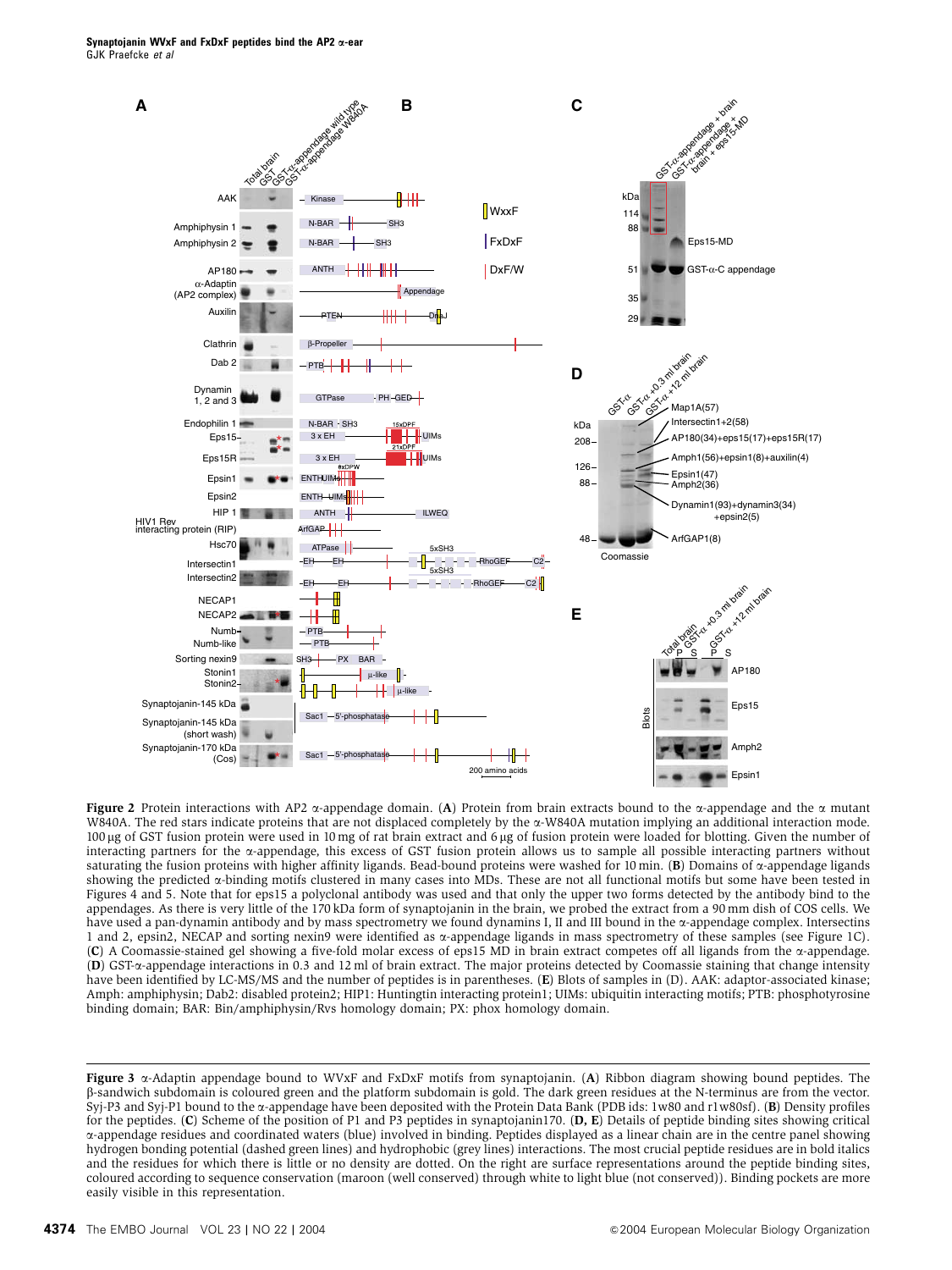

Figure 2 Protein interactions with AP2  $\alpha$ -appendage domain. (A) Protein from brain extracts bound to the  $\alpha$ -appendage and the  $\alpha$  mutant W840A. The red stars indicate proteins that are not displaced completely by the a-W840A mutation implying an additional interaction mode. 100 μg of GST fusion protein were used in 10 mg of rat brain extract and 6 μg of fusion protein were loaded for blotting. Given the number of interacting partners for the  $\alpha$ -appendage, this excess of GST fusion protein allows us to sample all possible interacting partners without saturating the fusion proteins with higher affinity ligands. Bead-bound proteins were washed for 10 min. (B) Domains of  $\alpha$ -appendage ligands showing the predicted a-binding motifs clustered in many cases into MDs. These are not all functional motifs but some have been tested in Figures 4 and 5. Note that for eps15 a polyclonal antibody was used and that only the upper two forms detected by the antibody bind to the appendages. As there is very little of the 170 kDa form of synaptojanin in the brain, we probed the extract from a 90 mm dish of COS cells. We have used a pan-dynamin antibody and by mass spectrometry we found dynamins I, II and III bound in the  $\alpha$ -appendage complex. Intersectins 1 and 2, epsin2, NECAP and sorting nexin9 were identified as a-appendage ligands in mass spectrometry of these samples (see Figure 1C). (C) A Coomassie-stained gel showing a five-fold molar excess of eps15 MD in brain extract competes off all ligands from the  $\alpha$ -appendage. (D) GST-a-appendage interactions in 0.3 and 12 ml of brain extract. The major proteins detected by Coomassie staining that change intensity have been identified by LC-MS/MS and the number of peptides is in parentheses. (E) Blots of samples in (D). AAK: adaptor-associated kinase; Amph: amphiphysin; Dab2: disabled protein2; HIP1: Huntingtin interacting protein1; UIMs: ubiquitin interacting motifs; PTB: phosphotyrosine binding domain; BAR: Bin/amphiphysin/Rvs homology domain; PX: phox homology domain.

Figure 3  $\alpha$ -Adaptin appendage bound to WVxF and FxDxF motifs from synaptojanin. (A) Ribbon diagram showing bound peptides. The b-sandwich subdomain is coloured green and the platform subdomain is gold. The dark green residues at the N-terminus are from the vector. Syj-P3 and Syj-P1 bound to the a-appendage have been deposited with the Protein Data Bank (PDB ids: 1w80 and r1w80sf). (B) Density profiles for the peptides. (C) Scheme of the position of P1 and P3 peptides in synaptojanin170. (D, E) Details of peptide binding sites showing critical a-appendage residues and coordinated waters (blue) involved in binding. Peptides displayed as a linear chain are in the centre panel showing hydrogen bonding potential (dashed green lines) and hydrophobic (grey lines) interactions. The most crucial peptide residues are in bold italics and the residues for which there is little or no density are dotted. On the right are surface representations around the peptide binding sites, coloured according to sequence conservation (maroon (well conserved) through white to light blue (not conserved)). Binding pockets are more easily visible in this representation.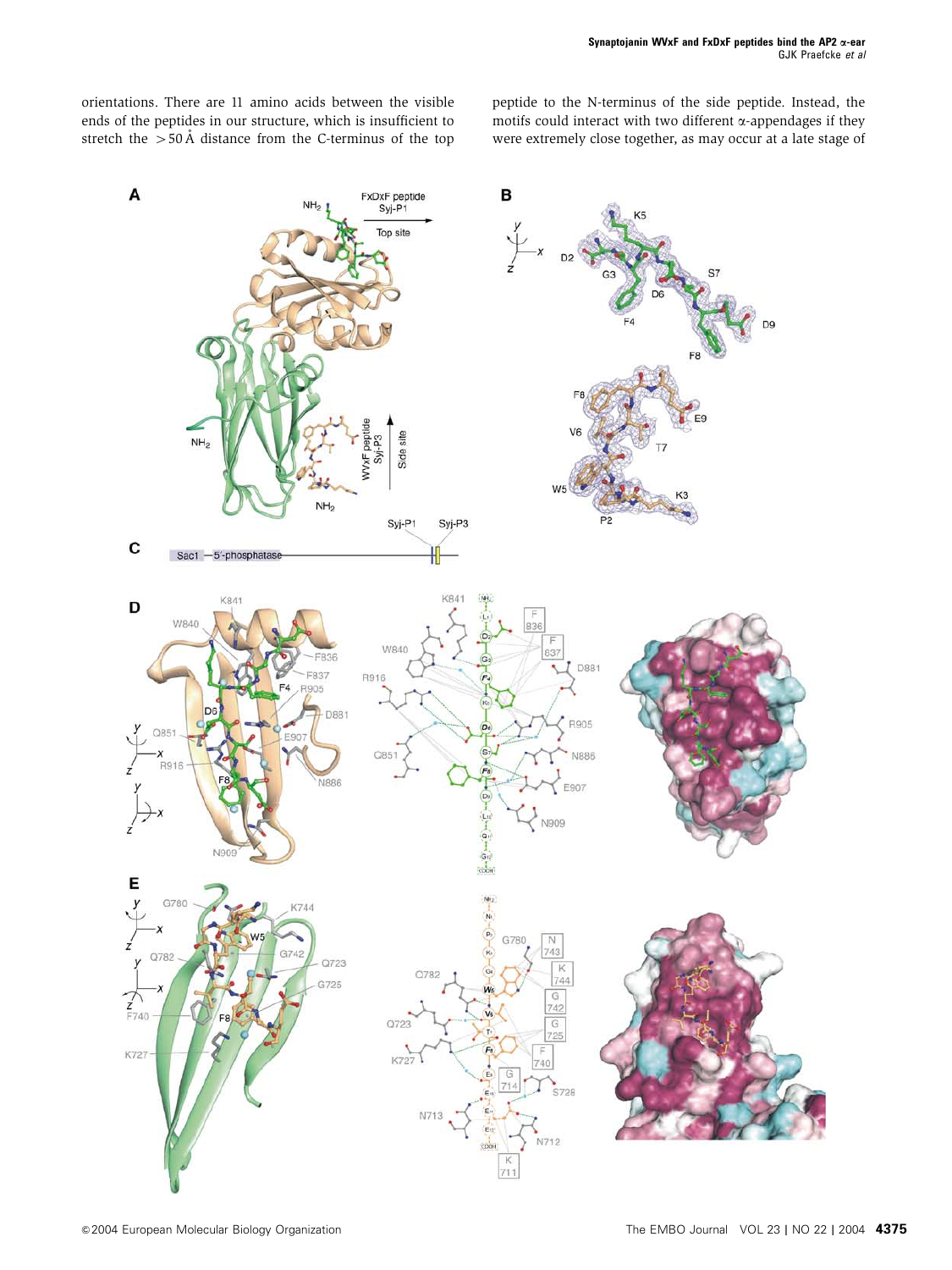orientations. There are 11 amino acids between the visible ends of the peptides in our structure, which is insufficient to stretch the  $>$ 50 Å distance from the C-terminus of the top peptide to the N-terminus of the side peptide. Instead, the motifs could interact with two different  $\alpha$ -appendages if they were extremely close together, as may occur at a late stage of

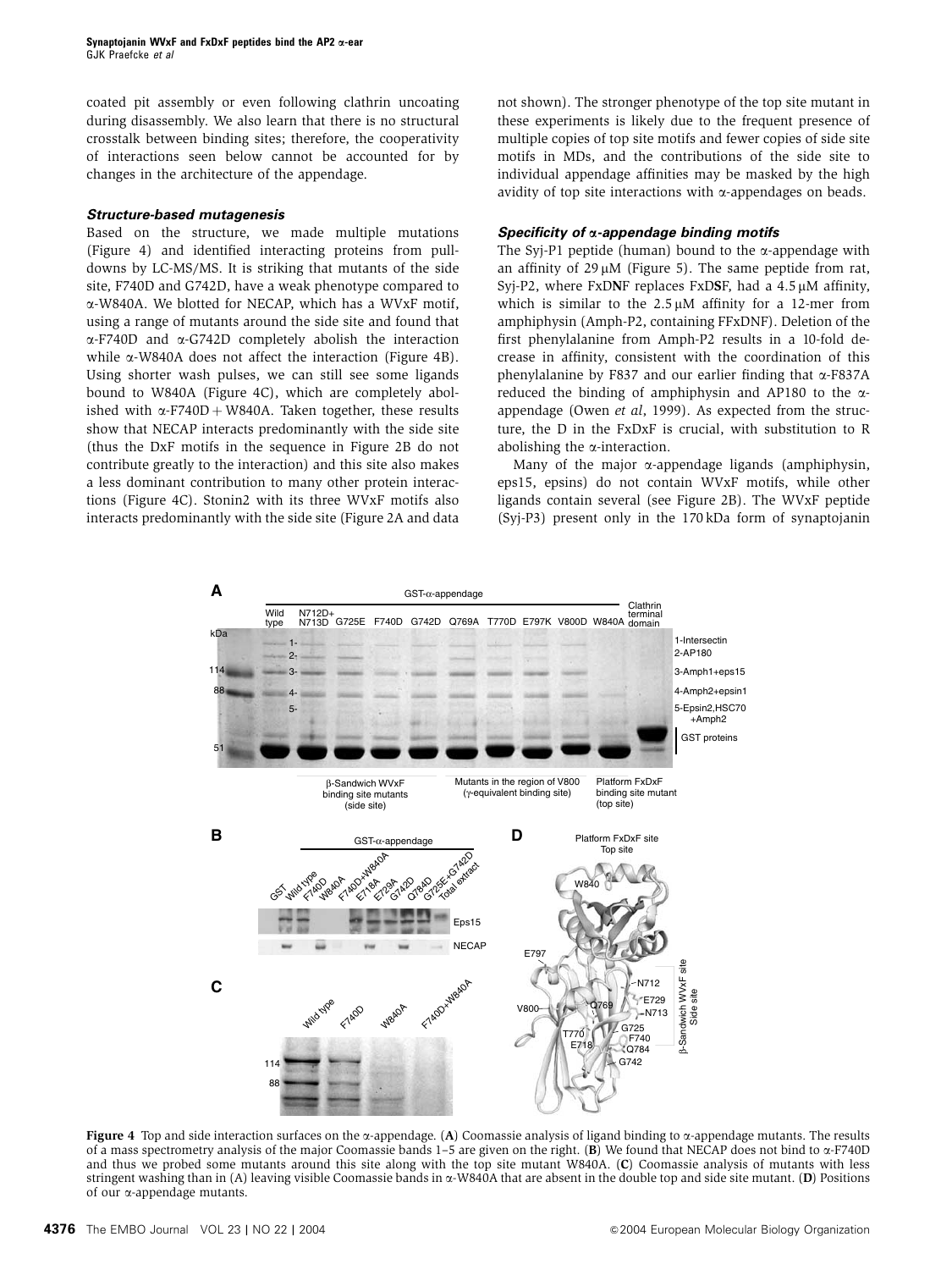coated pit assembly or even following clathrin uncoating during disassembly. We also learn that there is no structural crosstalk between binding sites; therefore, the cooperativity of interactions seen below cannot be accounted for by changes in the architecture of the appendage.

### **Structure-based mutagenesis**

Based on the structure, we made multiple mutations (Figure 4) and identified interacting proteins from pulldowns by LC-MS/MS. It is striking that mutants of the side site, F740D and G742D, have a weak phenotype compared to a-W840A. We blotted for NECAP, which has a WVxF motif, using a range of mutants around the side site and found that a-F740D and a-G742D completely abolish the interaction while  $\alpha$ -W840A does not affect the interaction (Figure 4B). Using shorter wash pulses, we can still see some ligands bound to W840A (Figure 4C), which are completely abolished with  $\alpha$ -F740D + W840A. Taken together, these results show that NECAP interacts predominantly with the side site (thus the DxF motifs in the sequence in Figure 2B do not contribute greatly to the interaction) and this site also makes a less dominant contribution to many other protein interactions (Figure 4C). Stonin2 with its three WVxF motifs also interacts predominantly with the side site (Figure 2A and data not shown). The stronger phenotype of the top site mutant in these experiments is likely due to the frequent presence of multiple copies of top site motifs and fewer copies of side site motifs in MDs, and the contributions of the side site to individual appendage affinities may be masked by the high avidity of top site interactions with  $\alpha$ -appendages on beads.

### **Specificity of** a**-appendage binding motifs**

The Syj-P1 peptide (human) bound to the  $\alpha$ -appendage with an affinity of  $29 \mu M$  (Figure 5). The same peptide from rat, Syj-P2, where FxDNF replaces FxDSF, had a  $4.5 \mu$ M affinity, which is similar to the  $2.5 \mu M$  affinity for a 12-mer from amphiphysin (Amph-P2, containing FFxDNF). Deletion of the first phenylalanine from Amph-P2 results in a 10-fold decrease in affinity, consistent with the coordination of this phenylalanine by F837 and our earlier finding that  $\alpha$ -F837A reduced the binding of amphiphysin and AP180 to the  $\alpha$ appendage (Owen et al, 1999). As expected from the structure, the D in the FxDxF is crucial, with substitution to R abolishing the  $\alpha$ -interaction.

Many of the major  $\alpha$ -appendage ligands (amphiphysin, eps15, epsins) do not contain WVxF motifs, while other ligands contain several (see Figure 2B). The WVxF peptide (Syj-P3) present only in the 170 kDa form of synaptojanin



Figure 4 Top and side interaction surfaces on the  $\alpha$ -appendage. (A) Coomassie analysis of ligand binding to  $\alpha$ -appendage mutants. The results of a mass spectrometry analysis of the major Coomassie bands  $1-5$  are given on the right. (B) We found that NECAP does not bind to  $\alpha$ -F740D and thus we probed some mutants around this site along with the top site mutant W840A. (C) Coomassie analysis of mutants with less stringent washing than in (A) leaving visible Coomassie bands in  $\alpha$ -W840A that are absent in the double top and side site mutant. (D) Positions of our a-appendage mutants.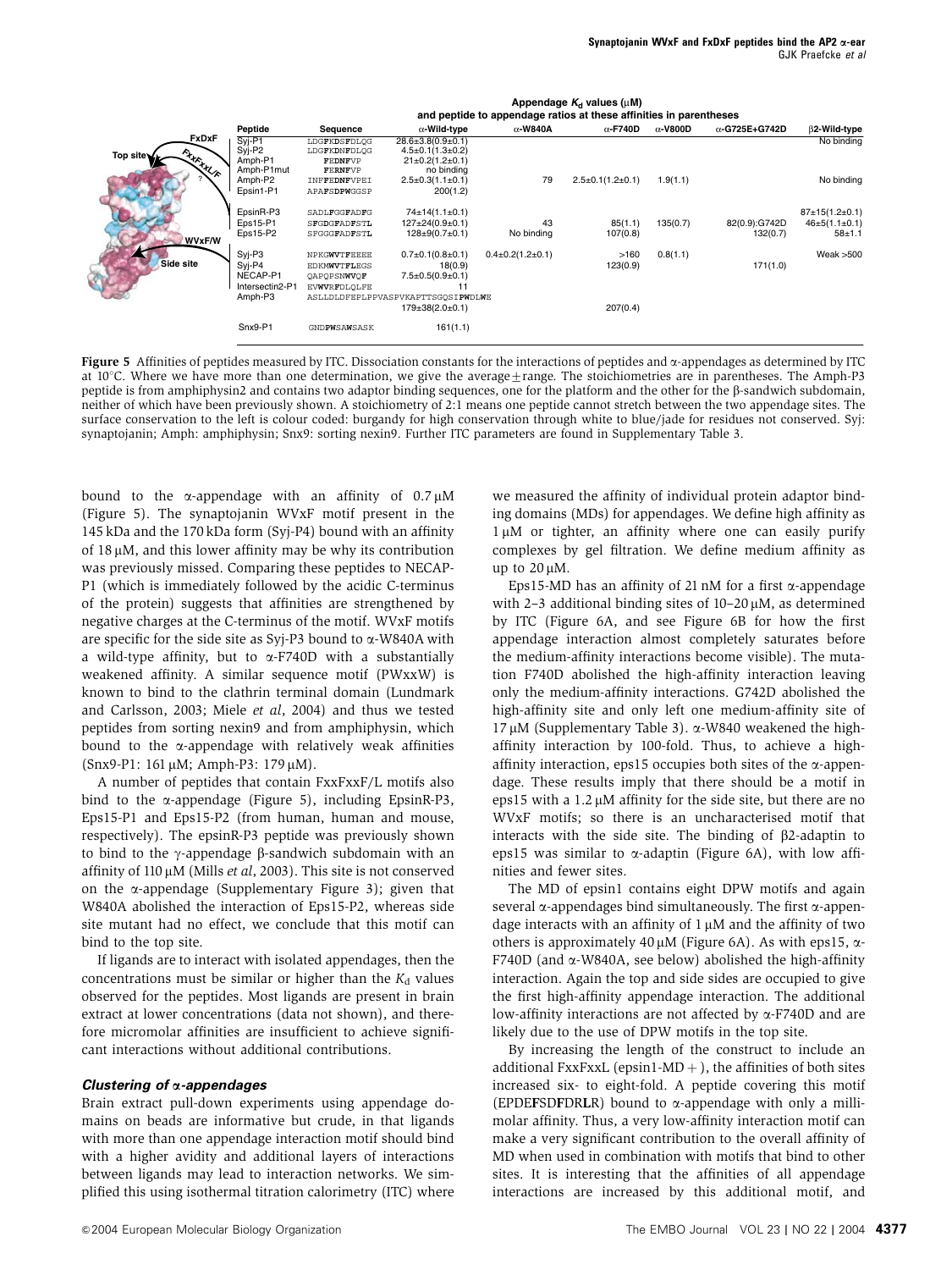|               |                 | and peptide to appendage ratios at these affinities in parentheses |                                    |                        |                        |                 |                       |                         |  |
|---------------|-----------------|--------------------------------------------------------------------|------------------------------------|------------------------|------------------------|-----------------|-----------------------|-------------------------|--|
|               | Peptide         | Sequence                                                           | $\alpha$ -Wild-type                | $\alpha$ -W840A        | $\alpha$ -F740D        | $\alpha$ -V800D | $\alpha$ -G725E+G742D | B2-Wild-type            |  |
| FxDxF         | $Svi-PI$        | LDGFKDSFDLQG                                                       | $28.6 \pm 3.8(0.9 \pm 0.1)$        |                        |                        |                 |                       | No binding              |  |
| Top site      | Syi-P2          | LDGFKDNFDLOG                                                       | $4.5 \pm 0.1(1.3 \pm 0.2)$         |                        |                        |                 |                       |                         |  |
| <b>THEALA</b> | Amph-P1         | FEDNFVP                                                            | $21 \pm 0.2(1.2 \pm 0.1)$          |                        |                        |                 |                       |                         |  |
|               | Amph-P1mut      | FERNFVP                                                            | no binding                         | 79                     |                        |                 |                       | No binding              |  |
|               | Amph-P2         | INFFEDNFVPEI                                                       | $2.5 \pm 0.3(1.1 \pm 0.1)$         |                        | $2.5\pm0.1(1.2\pm0.1)$ | 1.9(1.1)        |                       |                         |  |
|               | Epsin1-P1       | APAFSDPWGGSP                                                       | 200(1.2)                           |                        |                        |                 |                       |                         |  |
|               | EpsinR-P3       | SADLFGGFADFG                                                       | $74\pm14(1.1\pm0.1)$               |                        |                        |                 |                       | 87±15(1.2±0.1)          |  |
|               | Eps15-P1        | SFGDGFADFSTL                                                       | $127 \pm 24(0.9 \pm 0.1)$          | 43                     | 85(1.1)                | 135(0.7)        | 82(0.9):G742D         | $46 \pm 5(1.1 \pm 0.1)$ |  |
|               | Eps15-P2        | SFGGGFADFSTL                                                       | $128 \pm 9(0.7 \pm 0.1)$           | No binding             | 107(0.8)               |                 | 132(0.7)              | $58 + 1.1$              |  |
| WVxF/W        |                 |                                                                    |                                    |                        |                        |                 |                       |                         |  |
|               | Syi-P3          | NPKGWVTFEEEE                                                       | $0.7\pm0.1(0.8\pm0.1)$             | $0.4\pm0.2(1.2\pm0.1)$ | >160                   | 0.8(1.1)        |                       | Weak $>500$             |  |
| Side site     | Syi-P4          | EDKMWVTFLEGS                                                       | 18(0.9)                            |                        | 123(0.9)               |                 | 171(1.0)              |                         |  |
|               | NECAP-P1        | OAPOPSNWVOF                                                        | $7.5 \pm 0.5(0.9 \pm 0.1)$         |                        |                        |                 |                       |                         |  |
|               | Intersectin2-P1 | <b>EVWVRFDLOLFE</b>                                                | 11                                 |                        |                        |                 |                       |                         |  |
|               | Amph-P3         |                                                                    | ASLLDLDFEPLPPVASPVKAPTTSGOSIPWDLWE |                        |                        |                 |                       |                         |  |
|               |                 |                                                                    | $179 \pm 38(2.0 \pm 0.1)$          |                        | 207(0.4)               |                 |                       |                         |  |
|               | Snx9-P1         | GNDPWSAWSASK                                                       | 161(1.1)                           |                        |                        |                 |                       |                         |  |
|               |                 |                                                                    |                                    |                        |                        |                 |                       |                         |  |

Appendage  $K_d$  values ( $\mu$ M)

Figure 5 Affinities of peptides measured by ITC. Dissociation constants for the interactions of peptides and  $\alpha$ -appendages as determined by ITC at  $10^{\circ}$ C. Where we have more than one determination, we give the average $\pm$ range. The stoichiometries are in parentheses. The Amph-P3 peptide is from amphiphysin2 and contains two adaptor binding sequences, one for the platform and the other for the b-sandwich subdomain, neither of which have been previously shown. A stoichiometry of 2:1 means one peptide cannot stretch between the two appendage sites. The surface conservation to the left is colour coded: burgandy for high conservation through white to blue/jade for residues not conserved. Syj: synaptojanin; Amph: amphiphysin; Snx9: sorting nexin9. Further ITC parameters are found in Supplementary Table 3.

bound to the  $\alpha$ -appendage with an affinity of 0.7  $\mu$ M (Figure 5). The synaptojanin WVxF motif present in the 145 kDa and the 170 kDa form (Syj-P4) bound with an affinity of  $18 \mu$ M, and this lower affinity may be why its contribution was previously missed. Comparing these peptides to NECAP-P1 (which is immediately followed by the acidic C-terminus of the protein) suggests that affinities are strengthened by negative charges at the C-terminus of the motif. WVxF motifs are specific for the side site as Syj-P3 bound to  $\alpha$ -W840A with a wild-type affinity, but to  $\alpha$ -F740D with a substantially weakened affinity. A similar sequence motif (PWxxW) is known to bind to the clathrin terminal domain (Lundmark and Carlsson, 2003; Miele et al, 2004) and thus we tested peptides from sorting nexin9 and from amphiphysin, which bound to the a-appendage with relatively weak affinities (Snx9-P1: 161 μM; Amph-P3: 179 μM).

A number of peptides that contain FxxFxxF/L motifs also bind to the  $\alpha$ -appendage (Figure 5), including EpsinR-P3, Eps15-P1 and Eps15-P2 (from human, human and mouse, respectively). The epsinR-P3 peptide was previously shown to bind to the  $\gamma$ -appendage  $\beta$ -sandwich subdomain with an affinity of 110  $\mu$ M (Mills *et al*, 2003). This site is not conserved on the  $\alpha$ -appendage (Supplementary Figure 3); given that W840A abolished the interaction of Eps15-P2, whereas side site mutant had no effect, we conclude that this motif can bind to the top site.

If ligands are to interact with isolated appendages, then the concentrations must be similar or higher than the  $K_d$  values observed for the peptides. Most ligands are present in brain extract at lower concentrations (data not shown), and therefore micromolar affinities are insufficient to achieve significant interactions without additional contributions.

### **Clustering of** a**-appendages**

Brain extract pull-down experiments using appendage domains on beads are informative but crude, in that ligands with more than one appendage interaction motif should bind with a higher avidity and additional layers of interactions between ligands may lead to interaction networks. We simplified this using isothermal titration calorimetry (ITC) where

we measured the affinity of individual protein adaptor binding domains (MDs) for appendages. We define high affinity as  $1 \mu$ M or tighter, an affinity where one can easily purify complexes by gel filtration. We define medium affinity as up to  $20 \mu M$ .

Eps15-MD has an affinity of 21 nM for a first  $\alpha$ -appendage with 2-3 additional binding sites of  $10-20 \mu M$ , as determined by ITC (Figure 6A, and see Figure 6B for how the first appendage interaction almost completely saturates before the medium-affinity interactions become visible). The mutation F740D abolished the high-affinity interaction leaving only the medium-affinity interactions. G742D abolished the high-affinity site and only left one medium-affinity site of  $17 \mu$ M (Supplementary Table 3).  $\alpha$ -W840 weakened the highaffinity interaction by 100-fold. Thus, to achieve a highaffinity interaction, eps15 occupies both sites of the  $\alpha$ -appendage. These results imply that there should be a motif in eps15 with a  $1.2 \mu$ M affinity for the side site, but there are no WVxF motifs; so there is an uncharacterised motif that interacts with the side site. The binding of  $\beta$ 2-adaptin to eps15 was similar to  $\alpha$ -adaptin (Figure 6A), with low affinities and fewer sites.

The MD of epsin1 contains eight DPW motifs and again several  $\alpha$ -appendages bind simultaneously. The first  $\alpha$ -appendage interacts with an affinity of  $1 \mu$ M and the affinity of two others is approximately 40  $\mu$ M (Figure 6A). As with eps15,  $\alpha$ -F740D (and  $\alpha$ -W840A, see below) abolished the high-affinity interaction. Again the top and side sides are occupied to give the first high-affinity appendage interaction. The additional low-affinity interactions are not affected by a-F740D and are likely due to the use of DPW motifs in the top site.

By increasing the length of the construct to include an additional FxxFxxL (epsin1-MD  $+$  ), the affinities of both sites increased six- to eight-fold. A peptide covering this motif (EPDEFSDFDRLR) bound to  $\alpha$ -appendage with only a millimolar affinity. Thus, a very low-affinity interaction motif can make a very significant contribution to the overall affinity of MD when used in combination with motifs that bind to other sites. It is interesting that the affinities of all appendage interactions are increased by this additional motif, and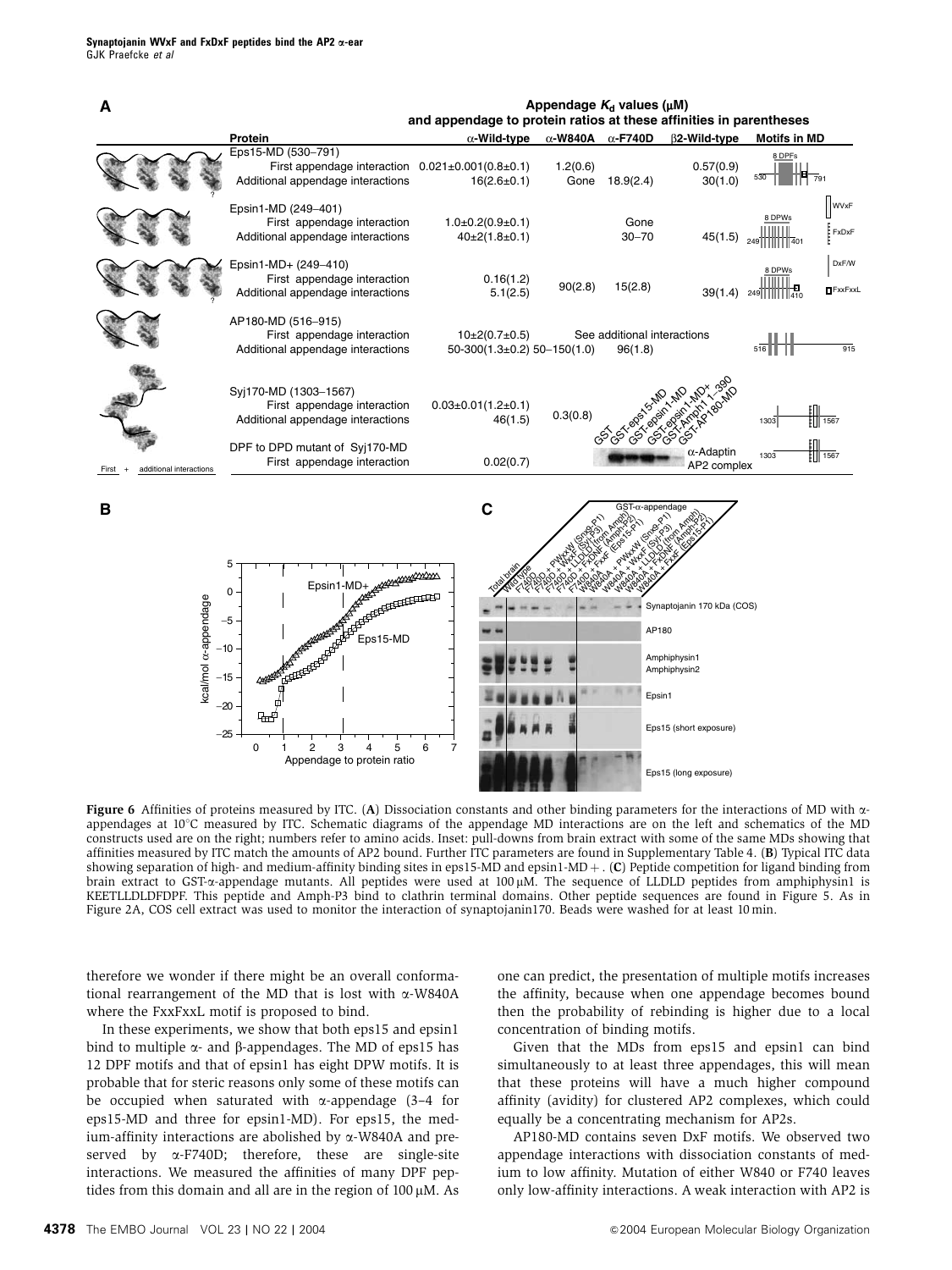

Figure 6 Affinities of proteins measured by ITC. (A) Dissociation constants and other binding parameters for the interactions of MD with  $\alpha$ appendages at 10°C measured by ITC. Schematic diagrams of the appendage MD interactions are on the left and schematics of the MD constructs used are on the right; numbers refer to amino acids. Inset: pull-downs from brain extract with some of the same MDs showing that affinities measured by ITC match the amounts of AP2 bound. Further ITC parameters are found in Supplementary Table 4. (B) Typical ITC data showing separation of high- and medium-affinity binding sites in eps15-MD and epsin1-MD  $+$ . (C) Peptide competition for ligand binding from brain extract to GST-a-appendage mutants. All peptides were used at 100 µM. The sequence of LLDLD peptides from amphiphysin1 is KEETLLDLDFDPF. This peptide and Amph-P3 bind to clathrin terminal domains. Other peptide sequences are found in Figure 5. As in Figure 2A, COS cell extract was used to monitor the interaction of synaptojanin170. Beads were washed for at least 10 min.

therefore we wonder if there might be an overall conformational rearrangement of the MD that is lost with  $\alpha$ -W840A where the FxxFxxL motif is proposed to bind.

In these experiments, we show that both eps15 and epsin1 bind to multiple  $\alpha$ - and  $\beta$ -appendages. The MD of eps15 has 12 DPF motifs and that of epsin1 has eight DPW motifs. It is probable that for steric reasons only some of these motifs can be occupied when saturated with  $\alpha$ -appendage (3-4 for eps15-MD and three for epsin1-MD). For eps15, the medium-affinity interactions are abolished by  $\alpha$ -W840A and preserved by  $\alpha$ -F740D; therefore, these are single-site interactions. We measured the affinities of many DPF peptides from this domain and all are in the region of  $100 \mu M$ . As

one can predict, the presentation of multiple motifs increases the affinity, because when one appendage becomes bound then the probability of rebinding is higher due to a local concentration of binding motifs.

Given that the MDs from eps15 and epsin1 can bind simultaneously to at least three appendages, this will mean that these proteins will have a much higher compound affinity (avidity) for clustered AP2 complexes, which could equally be a concentrating mechanism for AP2s.

AP180-MD contains seven DxF motifs. We observed two appendage interactions with dissociation constants of medium to low affinity. Mutation of either W840 or F740 leaves only low-affinity interactions. A weak interaction with AP2 is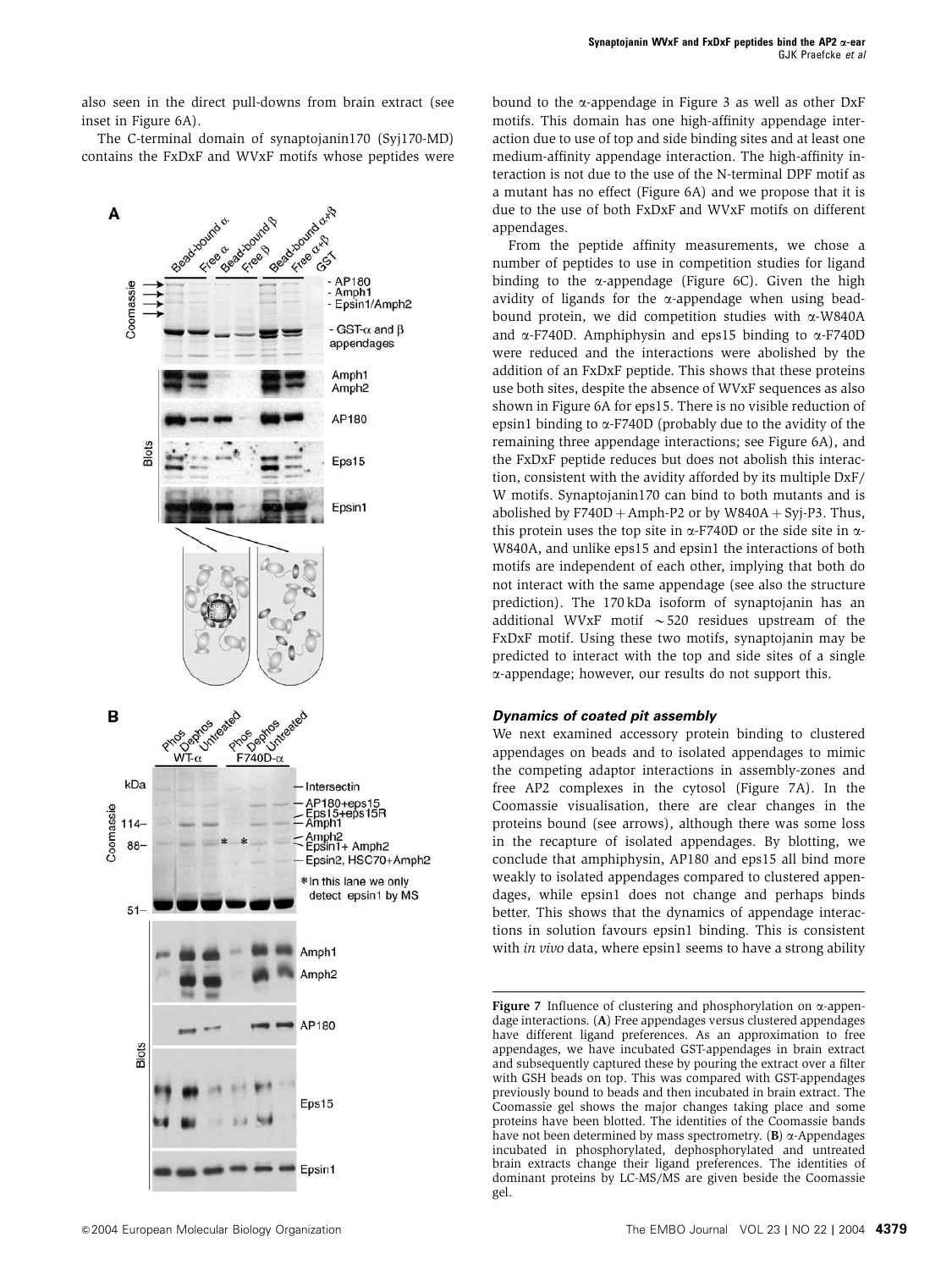also seen in the direct pull-downs from brain extract (see inset in Figure 6A).

The C-terminal domain of synaptojanin170 (Syj170-MD) contains the FxDxF and WVxF motifs whose peptides were



bound to the  $\alpha$ -appendage in Figure 3 as well as other DxF motifs. This domain has one high-affinity appendage interaction due to use of top and side binding sites and at least one medium-affinity appendage interaction. The high-affinity interaction is not due to the use of the N-terminal DPF motif as a mutant has no effect (Figure 6A) and we propose that it is due to the use of both FxDxF and WVxF motifs on different appendages.

From the peptide affinity measurements, we chose a number of peptides to use in competition studies for ligand binding to the  $\alpha$ -appendage (Figure 6C). Given the high avidity of ligands for the  $\alpha$ -appendage when using beadbound protein, we did competition studies with  $\alpha$ -W840A and  $\alpha$ -F740D. Amphiphysin and eps15 binding to  $\alpha$ -F740D were reduced and the interactions were abolished by the addition of an FxDxF peptide. This shows that these proteins use both sites, despite the absence of WVxF sequences as also shown in Figure 6A for eps15. There is no visible reduction of epsin1 binding to  $\alpha$ -F740D (probably due to the avidity of the remaining three appendage interactions; see Figure 6A), and the FxDxF peptide reduces but does not abolish this interaction, consistent with the avidity afforded by its multiple DxF/ W motifs. Synaptojanin170 can bind to both mutants and is abolished by  $F740D + Amph-P2$  or by W840A + Syj-P3. Thus, this protein uses the top site in  $\alpha$ -F740D or the side site in  $\alpha$ -W840A, and unlike eps15 and epsin1 the interactions of both motifs are independent of each other, implying that both do not interact with the same appendage (see also the structure prediction). The 170 kDa isoform of synaptojanin has an additional WVxF motif  $\sim$  520 residues upstream of the FxDxF motif. Using these two motifs, synaptojanin may be predicted to interact with the top and side sites of a single a-appendage; however, our results do not support this.

### **Dynamics of coated pit assembly**

We next examined accessory protein binding to clustered appendages on beads and to isolated appendages to mimic the competing adaptor interactions in assembly-zones and free AP2 complexes in the cytosol (Figure 7A). In the Coomassie visualisation, there are clear changes in the proteins bound (see arrows), although there was some loss in the recapture of isolated appendages. By blotting, we conclude that amphiphysin, AP180 and eps15 all bind more weakly to isolated appendages compared to clustered appendages, while epsin1 does not change and perhaps binds better. This shows that the dynamics of appendage interactions in solution favours epsin1 binding. This is consistent with in vivo data, where epsin1 seems to have a strong ability

Figure 7 Influence of clustering and phosphorylation on  $\alpha$ -appendage interactions. (A) Free appendages versus clustered appendages have different ligand preferences. As an approximation to free appendages, we have incubated GST-appendages in brain extract and subsequently captured these by pouring the extract over a filter with GSH beads on top. This was compared with GST-appendages previously bound to beads and then incubated in brain extract. The Coomassie gel shows the major changes taking place and some proteins have been blotted. The identities of the Coomassie bands have not been determined by mass spectrometry.  $(B)$   $\alpha$ -Appendages incubated in phosphorylated, dephosphorylated and untreated brain extracts change their ligand preferences. The identities of dominant proteins by LC-MS/MS are given beside the Coomassie gel.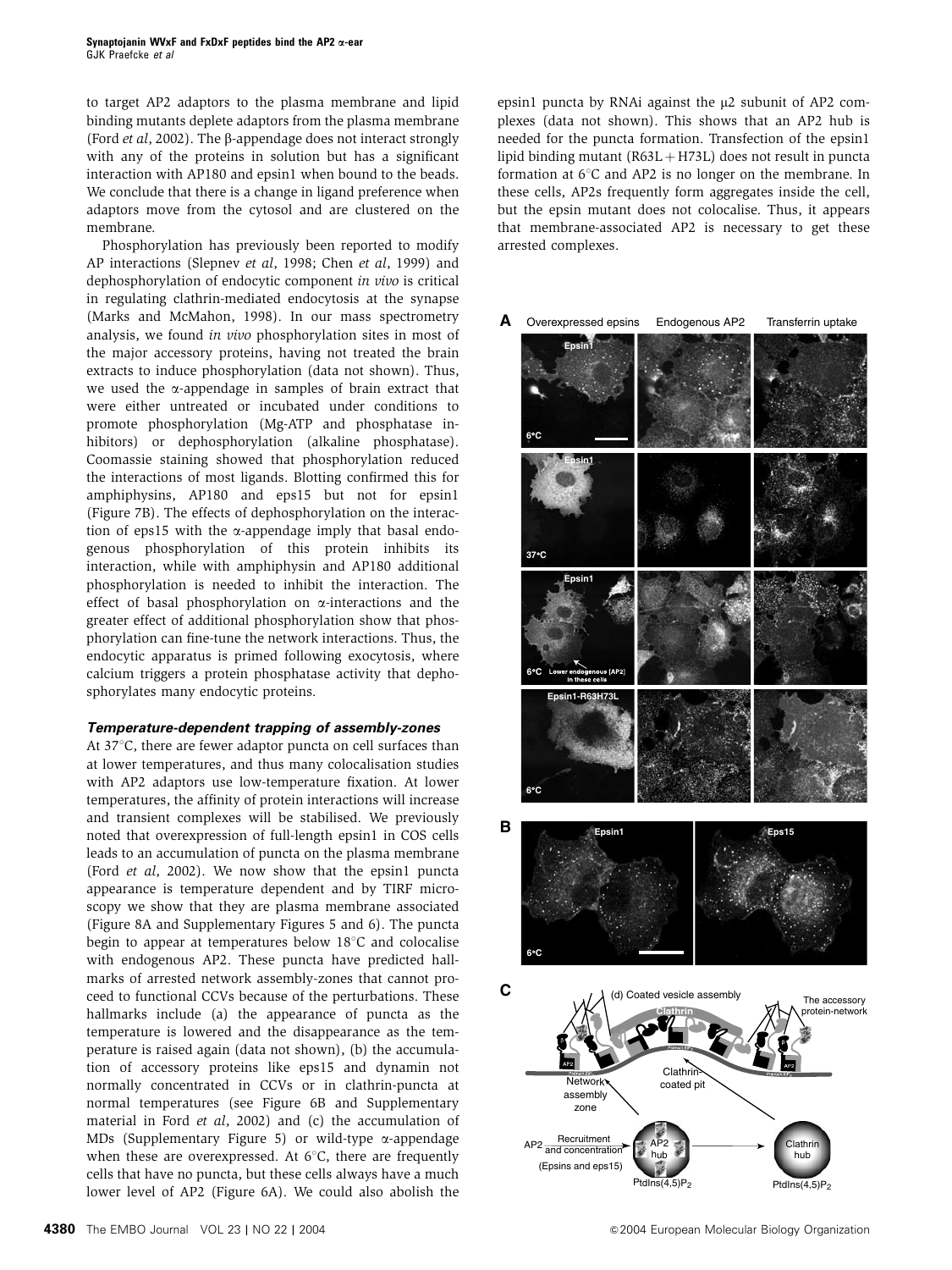to target AP2 adaptors to the plasma membrane and lipid binding mutants deplete adaptors from the plasma membrane (Ford et al, 2002). The b-appendage does not interact strongly with any of the proteins in solution but has a significant interaction with AP180 and epsin1 when bound to the beads. We conclude that there is a change in ligand preference when adaptors move from the cytosol and are clustered on the membrane.

Phosphorylation has previously been reported to modify AP interactions (Slepnev et al, 1998; Chen et al, 1999) and dephosphorylation of endocytic component in vivo is critical in regulating clathrin-mediated endocytosis at the synapse (Marks and McMahon, 1998). In our mass spectrometry analysis, we found in vivo phosphorylation sites in most of the major accessory proteins, having not treated the brain extracts to induce phosphorylation (data not shown). Thus, we used the  $\alpha$ -appendage in samples of brain extract that were either untreated or incubated under conditions to promote phosphorylation (Mg-ATP and phosphatase inhibitors) or dephosphorylation (alkaline phosphatase). Coomassie staining showed that phosphorylation reduced the interactions of most ligands. Blotting confirmed this for amphiphysins, AP180 and eps15 but not for epsin1 (Figure 7B). The effects of dephosphorylation on the interaction of eps15 with the  $\alpha$ -appendage imply that basal endogenous phosphorylation of this protein inhibits its interaction, while with amphiphysin and AP180 additional phosphorylation is needed to inhibit the interaction. The effect of basal phosphorylation on  $\alpha$ -interactions and the greater effect of additional phosphorylation show that phosphorylation can fine-tune the network interactions. Thus, the endocytic apparatus is primed following exocytosis, where calcium triggers a protein phosphatase activity that dephosphorylates many endocytic proteins.

### **Temperature-dependent trapping of assembly-zones**

At  $37^{\circ}$ C, there are fewer adaptor puncta on cell surfaces than at lower temperatures, and thus many colocalisation studies with AP2 adaptors use low-temperature fixation. At lower temperatures, the affinity of protein interactions will increase and transient complexes will be stabilised. We previously noted that overexpression of full-length epsin1 in COS cells leads to an accumulation of puncta on the plasma membrane (Ford *et al*, 2002). We now show that the epsin1 puncta appearance is temperature dependent and by TIRF microscopy we show that they are plasma membrane associated (Figure 8A and Supplementary Figures 5 and 6). The puncta begin to appear at temperatures below  $18^{\circ}$ C and colocalise with endogenous AP2. These puncta have predicted hallmarks of arrested network assembly-zones that cannot proceed to functional CCVs because of the perturbations. These hallmarks include (a) the appearance of puncta as the temperature is lowered and the disappearance as the temperature is raised again (data not shown), (b) the accumulation of accessory proteins like eps15 and dynamin not normally concentrated in CCVs or in clathrin-puncta at normal temperatures (see Figure 6B and Supplementary material in Ford et al, 2002) and (c) the accumulation of MDs (Supplementary Figure 5) or wild-type a-appendage when these are overexpressed. At  $6^{\circ}$ C, there are frequently cells that have no puncta, but these cells always have a much lower level of AP2 (Figure 6A). We could also abolish the

epsin1 puncta by RNAi against the  $\mu$ 2 subunit of AP2 complexes (data not shown). This shows that an AP2 hub is needed for the puncta formation. Transfection of the epsin1 lipid binding mutant  $(R63L + H73L)$  does not result in puncta formation at  $6^{\circ}$ C and AP2 is no longer on the membrane. In these cells, AP2s frequently form aggregates inside the cell, but the epsin mutant does not colocalise. Thus, it appears that membrane-associated AP2 is necessary to get these arrested complexes.

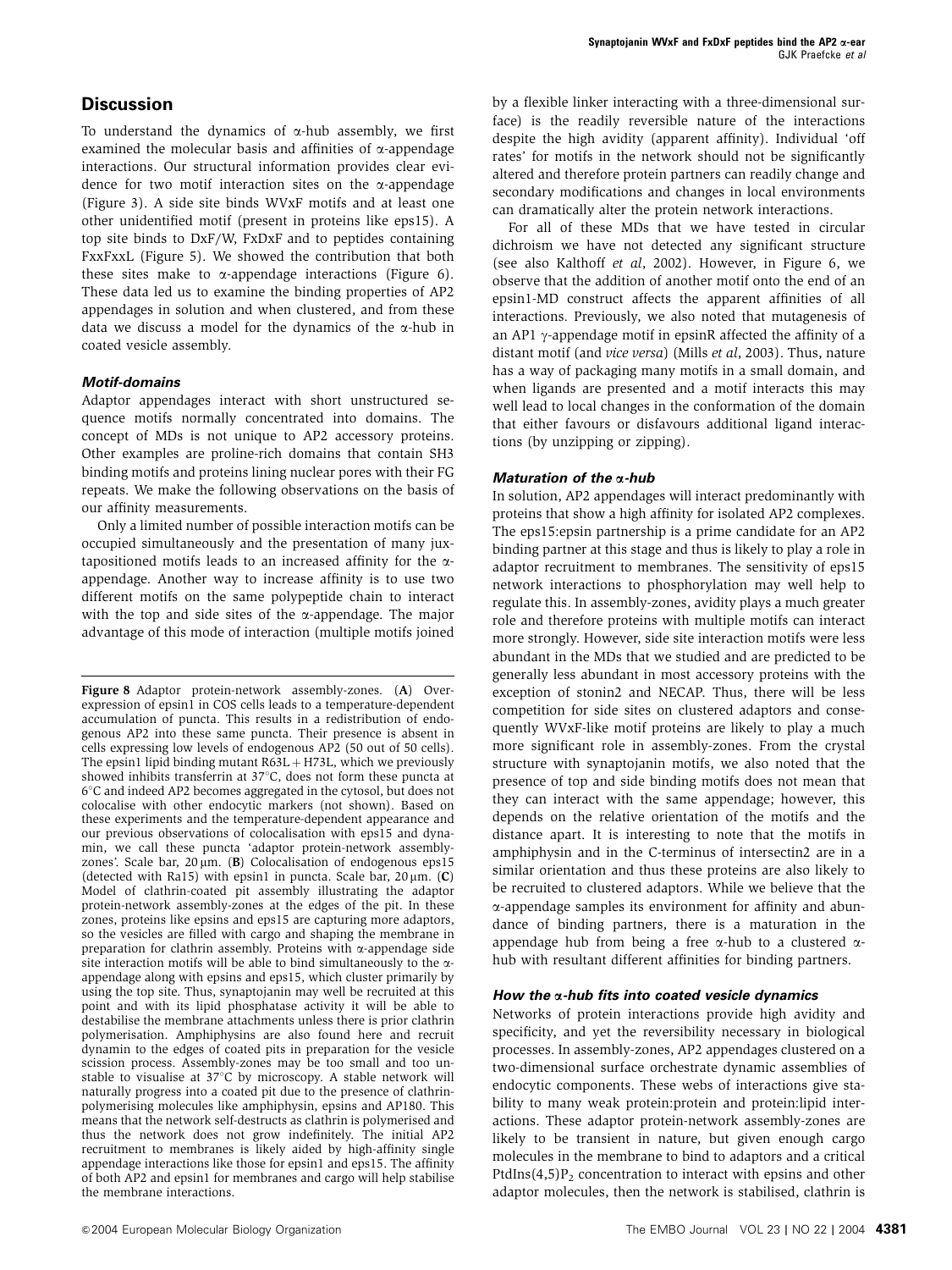### **Discussion**

To understand the dynamics of  $\alpha$ -hub assembly, we first examined the molecular basis and affinities of  $\alpha$ -appendage interactions. Our structural information provides clear evidence for two motif interaction sites on the  $\alpha$ -appendage (Figure 3). A side site binds WVxF motifs and at least one other unidentified motif (present in proteins like eps15). A top site binds to DxF/W, FxDxF and to peptides containing FxxFxxL (Figure 5). We showed the contribution that both these sites make to  $\alpha$ -appendage interactions (Figure 6). These data led us to examine the binding properties of AP2 appendages in solution and when clustered, and from these data we discuss a model for the dynamics of the  $\alpha$ -hub in coated vesicle assembly.

### **Motif-domains**

Adaptor appendages interact with short unstructured sequence motifs normally concentrated into domains. The concept of MDs is not unique to AP2 accessory proteins. Other examples are proline-rich domains that contain SH3 binding motifs and proteins lining nuclear pores with their FG repeats. We make the following observations on the basis of our affinity measurements.

Only a limited number of possible interaction motifs can be occupied simultaneously and the presentation of many juxtapositioned motifs leads to an increased affinity for the  $\alpha$ appendage. Another way to increase affinity is to use two different motifs on the same polypeptide chain to interact with the top and side sites of the  $\alpha$ -appendage. The major advantage of this mode of interaction (multiple motifs joined by a flexible linker interacting with a three-dimensional surface) is the readily reversible nature of the interactions despite the high avidity (apparent affinity). Individual 'off rates' for motifs in the network should not be significantly altered and therefore protein partners can readily change and secondary modifications and changes in local environments can dramatically alter the protein network interactions.

For all of these MDs that we have tested in circular dichroism we have not detected any significant structure (see also Kalthoff et al, 2002). However, in Figure 6, we observe that the addition of another motif onto the end of an epsin1-MD construct affects the apparent affinities of all interactions. Previously, we also noted that mutagenesis of an AP1  $\gamma$ -appendage motif in epsinR affected the affinity of a distant motif (and vice versa) (Mills et al, 2003). Thus, nature has a way of packaging many motifs in a small domain, and when ligands are presented and a motif interacts this may well lead to local changes in the conformation of the domain that either favours or disfavours additional ligand interactions (by unzipping or zipping).

### **Maturation of the** a**-hub**

In solution, AP2 appendages will interact predominantly with proteins that show a high affinity for isolated AP2 complexes. The eps15:epsin partnership is a prime candidate for an AP2 binding partner at this stage and thus is likely to play a role in adaptor recruitment to membranes. The sensitivity of eps15 network interactions to phosphorylation may well help to regulate this. In assembly-zones, avidity plays a much greater role and therefore proteins with multiple motifs can interact more strongly. However, side site interaction motifs were less abundant in the MDs that we studied and are predicted to be generally less abundant in most accessory proteins with the exception of stonin2 and NECAP. Thus, there will be less competition for side sites on clustered adaptors and consequently WVxF-like motif proteins are likely to play a much more significant role in assembly-zones. From the crystal structure with synaptojanin motifs, we also noted that the presence of top and side binding motifs does not mean that they can interact with the same appendage; however, this depends on the relative orientation of the motifs and the distance apart. It is interesting to note that the motifs in amphiphysin and in the C-terminus of intersectin2 are in a similar orientation and thus these proteins are also likely to be recruited to clustered adaptors. While we believe that the a-appendage samples its environment for affinity and abundance of binding partners, there is a maturation in the appendage hub from being a free  $\alpha$ -hub to a clustered  $\alpha$ hub with resultant different affinities for binding partners.

### **How the** a**-hub fits into coated vesicle dynamics**

Networks of protein interactions provide high avidity and specificity, and yet the reversibility necessary in biological processes. In assembly-zones, AP2 appendages clustered on a two-dimensional surface orchestrate dynamic assemblies of endocytic components. These webs of interactions give stability to many weak protein:protein and protein:lipid interactions. These adaptor protein-network assembly-zones are likely to be transient in nature, but given enough cargo molecules in the membrane to bind to adaptors and a critical PtdIns $(4,5)P_2$  concentration to interact with epsins and other adaptor molecules, then the network is stabilised, clathrin is

Figure 8 Adaptor protein-network assembly-zones. (A) Overexpression of epsin1 in COS cells leads to a temperature-dependent accumulation of puncta. This results in a redistribution of endogenous AP2 into these same puncta. Their presence is absent in cells expressing low levels of endogenous AP2 (50 out of 50 cells). The epsin1 lipid binding mutant  $R63L + H73L$ , which we previously showed inhibits transferrin at  $37^{\circ}$ C, does not form these puncta at 61C and indeed AP2 becomes aggregated in the cytosol, but does not colocalise with other endocytic markers (not shown). Based on these experiments and the temperature-dependent appearance and our previous observations of colocalisation with eps15 and dynamin, we call these puncta 'adaptor protein-network assemblyzones'. Scale bar,  $20 \mu m$ . (B) Colocalisation of endogenous eps15 (detected with Ra15) with epsin1 in puncta. Scale bar,  $20 \mu m$ . (C) Model of clathrin-coated pit assembly illustrating the adaptor protein-network assembly-zones at the edges of the pit. In these zones, proteins like epsins and eps15 are capturing more adaptors, so the vesicles are filled with cargo and shaping the membrane in preparation for clathrin assembly. Proteins with  $\alpha$ -appendage side site interaction motifs will be able to bind simultaneously to the  $\alpha$ appendage along with epsins and eps15, which cluster primarily by using the top site. Thus, synaptojanin may well be recruited at this point and with its lipid phosphatase activity it will be able to destabilise the membrane attachments unless there is prior clathrin polymerisation. Amphiphysins are also found here and recruit dynamin to the edges of coated pits in preparation for the vesicle scission process. Assembly-zones may be too small and too unstable to visualise at  $37^{\circ}$ C by microscopy. A stable network will naturally progress into a coated pit due to the presence of clathrinpolymerising molecules like amphiphysin, epsins and AP180. This means that the network self-destructs as clathrin is polymerised and thus the network does not grow indefinitely. The initial AP2 recruitment to membranes is likely aided by high-affinity single appendage interactions like those for epsin1 and eps15. The affinity of both AP2 and epsin1 for membranes and cargo will help stabilise the membrane interactions.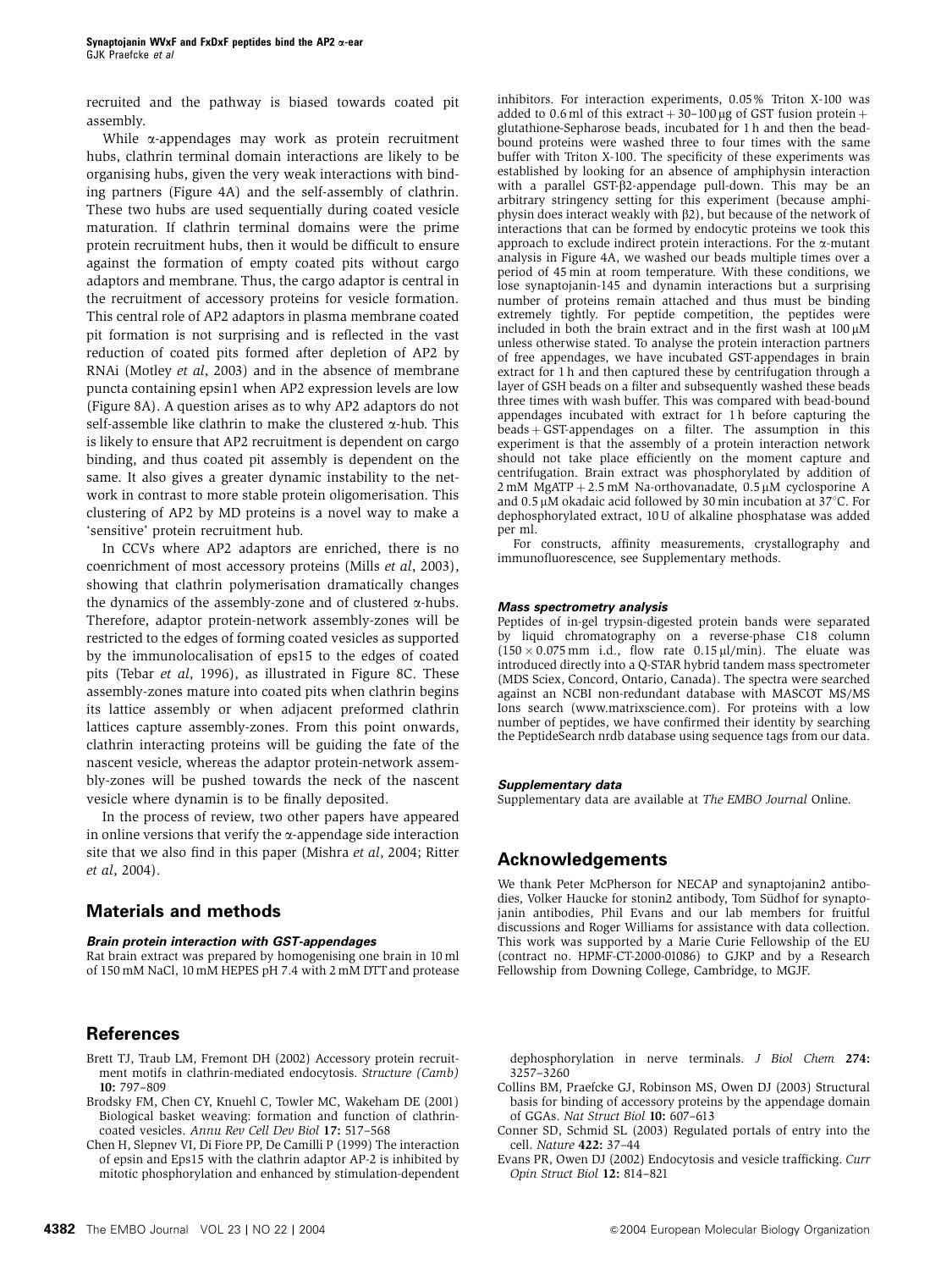recruited and the pathway is biased towards coated pit assembly.

While  $\alpha$ -appendages may work as protein recruitment hubs, clathrin terminal domain interactions are likely to be organising hubs, given the very weak interactions with binding partners (Figure 4A) and the self-assembly of clathrin. These two hubs are used sequentially during coated vesicle maturation. If clathrin terminal domains were the prime protein recruitment hubs, then it would be difficult to ensure against the formation of empty coated pits without cargo adaptors and membrane. Thus, the cargo adaptor is central in the recruitment of accessory proteins for vesicle formation. This central role of AP2 adaptors in plasma membrane coated pit formation is not surprising and is reflected in the vast reduction of coated pits formed after depletion of AP2 by RNAi (Motley et al, 2003) and in the absence of membrane puncta containing epsin1 when AP2 expression levels are low (Figure 8A). A question arises as to why AP2 adaptors do not self-assemble like clathrin to make the clustered  $\alpha$ -hub. This is likely to ensure that AP2 recruitment is dependent on cargo binding, and thus coated pit assembly is dependent on the same. It also gives a greater dynamic instability to the network in contrast to more stable protein oligomerisation. This clustering of AP2 by MD proteins is a novel way to make a 'sensitive' protein recruitment hub.

In CCVs where AP2 adaptors are enriched, there is no coenrichment of most accessory proteins (Mills et al, 2003), showing that clathrin polymerisation dramatically changes the dynamics of the assembly-zone and of clustered  $\alpha$ -hubs. Therefore, adaptor protein-network assembly-zones will be restricted to the edges of forming coated vesicles as supported by the immunolocalisation of eps15 to the edges of coated pits (Tebar et al, 1996), as illustrated in Figure 8C. These assembly-zones mature into coated pits when clathrin begins its lattice assembly or when adjacent preformed clathrin lattices capture assembly-zones. From this point onwards, clathrin interacting proteins will be guiding the fate of the nascent vesicle, whereas the adaptor protein-network assembly-zones will be pushed towards the neck of the nascent vesicle where dynamin is to be finally deposited.

In the process of review, two other papers have appeared in online versions that verify the  $\alpha$ -appendage side interaction site that we also find in this paper (Mishra et al, 2004; Ritter et al, 2004).

### **Materials and methods**

#### **Brain protein interaction with GST-appendages**

Rat brain extract was prepared by homogenising one brain in 10 ml of 150 mM NaCl, 10 mM HEPES pH 7.4 with 2 mM DTT and protease

### **References**

- Brett TJ, Traub LM, Fremont DH (2002) Accessory protein recruitment motifs in clathrin-mediated endocytosis. Structure (Camb) 10: 797–809
- Brodsky FM, Chen CY, Knuehl C, Towler MC, Wakeham DE (2001) Biological basket weaving: formation and function of clathrincoated vesicles. Annu Rev Cell Dev Biol 17: 517–568
- Chen H, Slepnev VI, Di Fiore PP, De Camilli P (1999) The interaction of epsin and Eps15 with the clathrin adaptor AP-2 is inhibited by mitotic phosphorylation and enhanced by stimulation-dependent

inhibitors. For interaction experiments, 0.05% Triton X-100 was added to 0.6 ml of this extract  $+30$ –100 µg of GST fusion protein  $+$ glutathione-Sepharose beads, incubated for 1 h and then the beadbound proteins were washed three to four times with the same buffer with Triton X-100. The specificity of these experiments was established by looking for an absence of amphiphysin interaction with a parallel  $GST-B2$ -appendage pull-down. This may be an arbitrary stringency setting for this experiment (because amphiphysin does interact weakly with  $\beta$ 2), but because of the network of interactions that can be formed by endocytic proteins we took this approach to exclude indirect protein interactions. For the  $\alpha$ -mutant analysis in Figure 4A, we washed our beads multiple times over a period of 45 min at room temperature. With these conditions, we lose synaptojanin-145 and dynamin interactions but a surprising number of proteins remain attached and thus must be binding extremely tightly. For peptide competition, the peptides were included in both the brain extract and in the first wash at  $100 \mu M$ unless otherwise stated. To analyse the protein interaction partners of free appendages, we have incubated GST-appendages in brain extract for 1 h and then captured these by centrifugation through a layer of GSH beads on a filter and subsequently washed these beads three times with wash buffer. This was compared with bead-bound appendages incubated with extract for  $1 \hat{h}$  before capturing the  $beads + \overline{GST}$ -appendages on a filter. The assumption in this experiment is that the assembly of a protein interaction network should not take place efficiently on the moment capture and centrifugation. Brain extract was phosphorylated by addition of  $2$  mM MgATP + 2.5 mM Na-orthovanadate, 0.5  $\mu$ M cyclosporine A and 0.5  $\mu$ M okadaic acid followed by 30 min incubation at 37°C. For dephosphorylated extract, 10 U of alkaline phosphatase was added per ml.

For constructs, affinity measurements, crystallography and immunofluorescence, see Supplementary methods.

#### **Mass spectrometry analysis**

Peptides of in-gel trypsin-digested protein bands were separated by liquid chromatography on a reverse-phase C18 column  $(150 \times 0.075 \text{ mm}$  i.d., flow rate 0.15 µl/min). The eluate was introduced directly into a Q-STAR hybrid tandem mass spectrometer (MDS Sciex, Concord, Ontario, Canada). The spectra were searched against an NCBI non-redundant database with MASCOT MS/MS Ions search (www.matrixscience.com). For proteins with a low number of peptides, we have confirmed their identity by searching the PeptideSearch nrdb database using sequence tags from our data.

#### **Supplementary data**

Supplementary data are available at The EMBO Journal Online.

### **Acknowledgements**

We thank Peter McPherson for NECAP and synaptojanin2 antibodies, Volker Haucke for stonin2 antibody, Tom Südhof for synaptojanin antibodies, Phil Evans and our lab members for fruitful discussions and Roger Williams for assistance with data collection. This work was supported by a Marie Curie Fellowship of the EU (contract no. HPMF-CT-2000-01086) to GJKP and by a Research Fellowship from Downing College, Cambridge, to MGJF.

dephosphorylation in nerve terminals. J Biol Chem 274: 3257–3260

- Collins BM, Praefcke GJ, Robinson MS, Owen DJ (2003) Structural basis for binding of accessory proteins by the appendage domain of GGAs. Nat Struct Biol 10: 607–613
- Conner SD, Schmid SL (2003) Regulated portals of entry into the cell. Nature 422: 37–44
- Evans PR, Owen DJ (2002) Endocytosis and vesicle trafficking. Curr Opin Struct Biol 12: 814–821